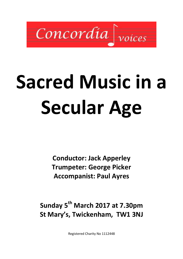

# Sacred Music in a Secular Age

Conductor: Jack Apperley Trumpeter: George Picker Accompanist: Paul Ayres

Sunday 5<sup>th</sup> March 2017 at 7.30pm St Mary's, Twickenham, TW1 3NJ

Registered Charity No 1112448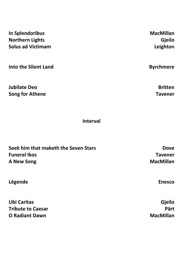| In Splendoribus             | <b>MacMillan</b> |
|-----------------------------|------------------|
| <b>Northern Lights</b>      | <b>Gjeilo</b>    |
| <b>Solus ad Victimam</b>    | Leighton         |
| <b>Into the Silent Land</b> | <b>Byrchmore</b> |
| <b>Jubilate Deo</b>         | <b>Britten</b>   |
| <b>Song for Athene</b>      | Tavener          |

Interval

| Seek him that maketh the Seven Stars | <b>Dove</b>      |
|--------------------------------------|------------------|
| <b>Funeral Ikos</b>                  | <b>Tavener</b>   |
| <b>A New Song</b>                    | <b>MacMillan</b> |
| Légende                              | <b>Enesco</b>    |
| Ubi Caritas                          | <b>Gjeilo</b>    |
| <b>Tribute to Caesar</b>             | Pärt             |
| <b>O Radiant Dawn</b>                | <b>MacMillan</b> |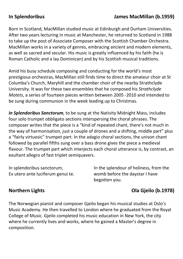### In Splendoribus James MacMillan (b.1959)

Born in Scotland, MacMillan studied music at Edinburgh and Durham Universities. After two years lecturing in music at Manchester, he returned to Scotland in 1988 to take up the post of Associate Composer with the Scottish Chamber Orchestra. MacMillan works in a variety of genres, embracing ancient and modern elements, as well as sacred and secular. His music is greatly influenced by his faith (he is Roman Catholic and a lay Dominican) and by his Scottish musical traditions.

Amid his busy schedule composing and conducting for the world's most prestigious orchestras, MacMillan still finds time to direct the amateur choir at St Columba's Church, Maryhill and the chamber choir of the nearby Strathclyde University. It was for these two ensembles that he composed his Strathclyde Motets, a series of fourteen pieces written between 2005 -2010 and intended to be sung during communion in the week leading up to Christmas.

In Splendoribus Sanctorum, to be sung at the Nativity Midnight Mass, includes four solo trumpet obbligato sections interspersing the choral phrases. The composer writes that the piece is a "kind of repeated chant, there's not much in the way of harmonisation, just a couple of drones and a shifting, middle part" plus a "fairly virtuosic" trumpet part. In the adagio choral sections, the unison chant followed by parallel fifths sung over a bass drone gives the piece a medieval flavour. The trumpet part which interjects each choral utterance is, by contrast, an exultant allegro of fast triplet semiquavers.

In splendoribus sanctorum, Ex utero ante luciferum genui te. In the splendour of holiness, from the womb before the daystar I have begotten you.

# Northern Lights Ola Gjeilo (b.1978)

The Norwegian pianist and composer Gjeilo began his musical studies at Oslo's Music Academy. He then travelled to London where he graduated from the Royal College of Music. Gjeilo completed his music education in New York, the city where he currently lives and works, where he gained a Master's degree in composition.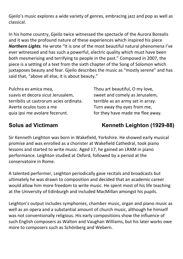Gjeilo's music explores a wide variety of genres, embracing jazz and pop as well as classical.

In his home country, Gjeilo twice witnessed the spectacle of the Aurora Borealis and it was the profound nature of these experiences which inspired his piece Northern Lights. He wrote "It is one of the most beautiful natural phenomena I've ever witnessed and has such a powerful, electric quality which must have been both mesmerising and terrifying to people in the past." Composed in 2007, the piece is a setting of a text from the sixth chapter of the Song of Solomon which juxtaposes beauty and fear. Gjeilo describes the music as "mostly serene" and has said that, "above all else, it is about beauty."

Pulchra es amica mea, suavis et decora sicut Jerusalem, terribilis ut castrorum acies ordinata. Averte oculos tuos a me quia ipsi me avolare fecerunt.

Thou art beautiful, O my love, sweet and comely as Jerusalem, terrible as an army set in array. Turn away thy eyes from me, for they have made me flee away.

# Solus ad Victimam Kenneth Leighton (1929-88)

Sir Kenneth Leighton was born in Wakefield, Yorkshire. He showed early musical promise and was enrolled as a chorister at Wakefield Cathedral, took piano lessons and started to write music. Aged 17, he gained an LRAM in piano performance. Leighton studied at Oxford, followed by a period at the conservatoire in Rome.

A talented performer, Leighton periodically gave recitals and broadcasts but ultimately he was drawn to composition and decided that an academic career would allow him more freedom to write music. He spent most of his life teaching at the University of Edinburgh and included MacMillan amongst his pupils.

Leighton's output includes symphonies, chamber music, organ and piano music as well as an opera and a substantial amount of church music, although he himself was not conventionally religious. His early compositions show the influence of such English composers as Walton and Vaughan Williams, but his later works owe more to composers such as Schönberg and Webern.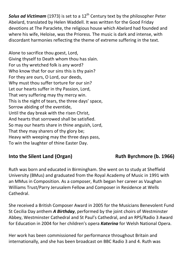**Solus ad Victimam** (1973) is set to a  $12<sup>th</sup>$  Century text by the philosopher Peter Abelard, translated by Helen Waddell. It was written for the Good Friday devotions at The Paraclete, the religious house which Abelard had founded and where his wife, Heloise, was the Prioress. The music is dark and intense, with discordant harmonies reflecting the theme of extreme suffering in the text.

Alone to sacrifice thou goest, Lord, Giving thyself to Death whom thou has slain. For us thy wretched folk is any word? Who know that for our sins this is thy pain? For they are ours, O Lord, our deeds, Why must thou suffer torture for our sin? Let our hearts suffer in thy Passion, Lord, That very suffering may thy mercy win. This is the night of tears, the three days' space, Sorrow abiding of the eventide, Until the day break with the risen Christ, And hearts that sorrowed shall be satisfied. So may our hearts share in thine anguish, Lord, That they may sharers of thy glory be; Heavy with weeping may the three days pass, To win the laughter of thine Easter Day.

# Into the Silent Land (Organ) Ruth Byrchmore (b. 1966)

Ruth was born and educated in Birmingham. She went on to study at Sheffield University (BMus) and graduated from the Royal Academy of Music in 1991 with an MMus in Composition. As a composer, Ruth began her career as Vaughan Williams Trust/Parry Jerusalem Fellow and Composer in Residence at Wells Cathedral.

She received a British Composer Award in 2005 for the Musicians Benevolent Fund St Cecilia Day anthem A Birthday, performed by the joint choirs of Westminster Abbey, Westminster Cathedral and St Paul's Cathedral, and an RPS/Radio 3 Award for Education in 2004 for her children's opera Katerina for Welsh National Opera.

Her work has been commissioned for performance throughout Britain and internationally, and she has been broadcast on BBC Radio 3 and 4. Ruth was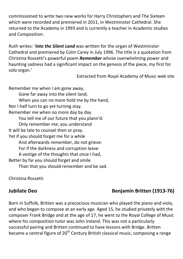commissioned to write two new works for Harry Christophers and The Sixteen which were recorded and premiered in 2011, in Westminster Cathedral. She returned to the Academy in 1993 and is currently a teacher in Academic studies and Composition.

Ruth writes: 'Into the Silent Land was written for the organ of Westminster Cathedral and premiered by Colm Carey in July 1996. The title is a quotation from Christina Rossetti's powerful poem Remember whose overwhelming power and haunting sadness had a significant impact on the genesis of the piece, my first for solo organ.'

Extracted from Royal Academy of Music web site

Remember me when I am gone away, Gone far away into the silent land; When you can no more hold me by the hand, Nor I half turn to go yet turning stay. Remember me when no more day by day You tell me of our future that you plann'd: Only remember me; you understand It will be late to counsel then or pray. Yet if you should forget me for a while And afterwards remember, do not grieve: For if the darkness and corruption leave A vestige of the thoughts that once I had, Better by far you should forget and smile Than that you should remember and be sad.

Christina Rossetti

# Jubilate Deo **Benjamin Britten (1913-76)**

Born in Suffolk, Britten was a precocious musician who played the piano and viola, and who began to compose at an early age. Aged 15, he studied privately with the composer Frank Bridge and at the age of 17, he went to the Royal College of Music where his composition tutor was John Ireland. This was not a particularly successful pairing and Britten continued to have lessons with Bridge. Britten became a central figure of  $20<sup>th</sup>$  Century British classical music, composing a range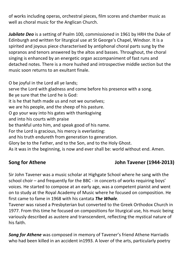of works including operas, orchestral pieces, film scores and chamber music as well as choral music for the Anglican Church.

Jubilate Deo is a setting of Psalm 100, commissioned in 1961 by HRH the Duke of Edinburgh and written for liturgical use at St George's Chapel, Windsor. It is a spirited and joyous piece characterised by antiphonal choral parts sung by the sopranos and tenors answered by the altos and basses. Throughout, the choral singing is enhanced by an energetic organ accompaniment of fast runs and detached notes. There is a more hushed and introspective middle section but the music soon returns to an exultant finale.

O be joyful in the Lord all ye lands; serve the Lord with gladness and come before his presence with a song. Be ye sure that the Lord he is God: it is he that hath made us and not we ourselves; we are his people, and the sheep of his pasture. O go your way into his gates with thanksgiving and into his courts with praise be thankful unto him, and speak good of his name. For the Lord is gracious, his mercy is everlasting: and his truth endureth from generation to generation. Glory be to the Father, and to the Son, and to the Holy Ghost. As it was in the beginning, is now and ever shall be: world without end. Amen.

# Song for Athene John Tavener (1944-2013)

Sir John Tavener was a music scholar at Highgate School where he sang with the school choir – and frequently for the BBC - in concerts of works requiring boys' voices. He started to compose at an early age, was a competent pianist and went on to study at the Royal Academy of Music where he focused on composition. He first came to fame in 1968 with his cantata **The Whale**.

Tavener was raised a Presbyterian but converted to the Greek Orthodox Church in 1977. From this time he focused on compositions for liturgical use, his music being variously described as austere and transcendent, reflecting the mystical nature of his faith.

Song for Athene was composed in memory of Tavener's friend Athene Harriadis who had been killed in an accident in1993. A lover of the arts, particularly poetry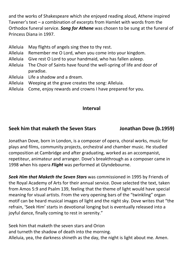and the works of Shakespeare which she enjoyed reading aloud, Athene inspired Tavener's text – a combination of excerpts from Hamlet with words from the Orthodox funeral service. Song for Athene was chosen to be sung at the funeral of Princess Diana in 1997.

- Alleluia May flights of angels sing thee to thy rest.
- Alleluia Remember me O Lord, when you come into your kingdom.
- Alleluia Give rest O Lord to your handmaid, who has fallen asleep.
- Alleluia The Choir of Saints have found the well-spring of life and door of paradise.
- Alleluia Life a shadow and a dream.
- Alleluia Weeping at the grave creates the song: Alleluia.
- Alleluia Come, enjoy rewards and crowns I have prepared for you.

# Interval

# Seek him that maketh the Seven Stars Jonathan Dove (b.1959)

Jonathan Dove, born in London, is a composer of opera, choral works, music for plays and films, community projects, orchestral and chamber music. He studied composition at Cambridge and after graduating, worked as an accompanist, repetiteur, animateur and arranger. Dove's breakthrough as a composer came in 1998 when his opera *Flight* was performed at Glyndebourne.

Seek Him that Maketh the Seven Stars was commissioned in 1995 by Friends of the Royal Academy of Arts for their annual service. Dove selected the text, taken from Amos 5:9 and Psalm 139, feeling that the theme of light would have special meaning for visual artists. From the very opening bars of the "twinkling" organ motif can be heard musical images of light and the night sky. Dove writes that "the refrain, 'Seek Him' starts in devotional longing but is eventually released into a joyful dance, finally coming to rest in serenity."

Seek him that maketh the seven stars and Orion and turneth the shadow of death into the morning. Alleluia, yea, the darkness shineth as the day, the night is light about me. Amen.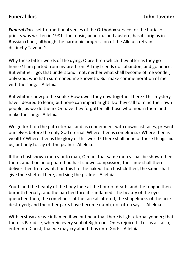Funeral Ikos, set to traditional verses of the Orthodox service for the burial of priests was written in 1981. The music, beautiful and austere, has its origins in Russian chant, although the harmonic progression of the Alleluia refrain is distinctly Tavener's.

Why these bitter words of the dying, O brethren which they utter as they go hence? I am parted from my brethren. All my friends do I abandon, and go hence. But whither I go, that understand I not, neither what shall become of me yonder; only God, who hath summoned me knoweth. But make commemoration of me with the song: Alleluia.

But whither now go the souls? How dwell they now together there? This mystery have I desired to learn, but none can impart aright. Do they call to mind their own people, as we do them? Or have they forgotten all those who mourn them and make the song: Alleluia.

We go forth on the path eternal, and as condemned, with downcast faces, present ourselves before the only God eternal. Where then is comeliness? Where then is wealth? Where then is the glory of this world? There shall none of these things aid us, but only to say oft the psalm: Alleluia.

If thou hast shown mercy unto man, O man, that same mercy shall be shown thee there; and if on an orphan thou hast shown compassion, the same shall there deliver thee from want. If in this life the naked thou hast clothed, the same shall give thee shelter there, and sing the psalm: Alleluia.

Youth and the beauty of the body fade at the hour of death, and the tongue then burneth fiercely, and the parched throat is inflamed. The beauty of the eyes is quenched then, the comeliness of the face all altered, the shapeliness of the neck destroyed; and the other parts have become numb, nor often say. Alleluia.

With ecstasy are we inflamed if we but hear that there is light eternal yonder; that there is Paradise, wherein every soul of Righteous Ones rejoiceth. Let us all, also, enter into Christ, that we may cry aloud thus unto God: Alleluia.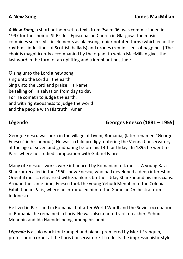A New Song, a short anthem set to texts from Psalm 96, was commissioned in 1997 for the choir of St Bride's Episcopalian Church in Glasgow. The music combines such stylistic elements as plainsong, quick notated turns (which echo the rhythmic inflections of Scottish ballads) and drones (reminiscent of bagpipes.) The choir is magnificently accompanied by the organ, to which MacMillan gives the last word in the form of an uplifting and triumphant postlude.

O sing unto the Lord a new song, sing unto the Lord all the earth. Sing unto the Lord and praise His Name, be telling of His salvation from day to day. For He cometh to judge the earth, and with righteousness to judge the world and the people with His truth. Amen

# Légende Georges Enesco (1881 – 1955)

George Enescu was born in the village of Liveni, Romania, (later renamed "George Enescu" in his honour). He was a child prodigy, entering the Vienna Conservatory at the age of seven and graduating before his 13th birthday. In 1895 he went to Paris where he studied composition with Gabriel Fauré.

Many of Enescu's works were influenced by Romanian folk music. A young Ravi Shankar recalled in the 1960s how Enescu, who had developed a deep interest in Oriental music, rehearsed with Shankar's brother Uday Shankar and his musicians. Around the same time, Enescu took the young Yehudi Menuhin to the Colonial Exhibition in Paris, where he introduced him to the Gamelan Orchestra from Indonesia.

He lived in Paris and in Romania, but after World War II and the Soviet occupation of Romania, he remained in Paris. He was also a noted violin teacher, Yehudi Menuhin and Ida Haendel being among his pupils.

Légende is a solo work for trumpet and piano, premiered by Merri Franquin, professor of cornet at the Paris Conservatoire. It reflects the impressionistic style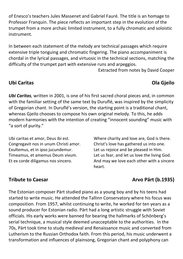of Enesco's teachers Jules Massenet and Gabriel Fauré. The title is an homage to Professor Franquin. The piece reflects an important step in the evolution of the trumpet from a more archaic limited instrument, to a fully chromatic and soloistic instrument.

In between each statement of the melody are technical passages which require extensive triple tonguing and chromatic fingering. The piano accompaniment is chordal in the lyrical passages, and virtuosic in the technical sections, matching the difficulty of the trumpet part with extensive runs and arpeggios.

Extracted from notes by David Cooper

### Ubi Caritas Ola Gjeilo

Ubi Caritas, written in 2001, is one of his first sacred choral pieces and, in common with the familiar setting of the same text by Duruflé, was inspired by the simplicity of Gregorian chant. In Duruflé's version, the starting point is a traditional chant, whereas Gjeilo chooses to compose his own original melody. To this, he adds modern harmonies with the intention of creating "innocent sounding" music with "a sort of purity."

Ubi caritas et amor, Deus ibi est. Congregavit nos in unum Christi amor. Exultemus, et in ipso jucundemur. Timeamus, et amemus Deum vivum. Et ex corde diligamus nos sincero.

Where charity and love are, God is there. Christ's love has gathered us into one. Let us rejoice and be pleased in Him. Let us fear, and let us love the living God. And may we love each other with a sincere heart.

# Tribute to Caesar **Arvo Pärt (b.1935)**

The Estonian composer Pärt studied piano as a young boy and by his teens had started to write music. He attended the Tallinn Conservatory where his focus was composition. From 1957, whilst continuing to write, he worked for ten years as a sound producer for Estonian radio. Pärt had a long artistic struggle with Soviet officials. His early works were banned for bearing the hallmarks of Schönberg's serial technique, a musical style deemed unacceptable to the authorities. In the 70s, Pärt took time to study medieval and Renaissance music and converted from Lutherism to the Russian Orthodox faith. From this period, his music underwent a transformation and influences of plainsong, Gregorian chant and polyphony can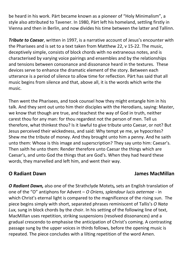be heard in his work. Pärt became known as a pioneer of "Holy Minimalism", a style also attributed to Tavener. In 1980, Pärt left his homeland, settling firstly in Vienna and then in Berlin, and now divides his time between the latter and Tallinn.

Tribute to Caesar, written in 1997, is a narrative account of Jesus's encounter with the Pharisees and is set to a text taken from Matthew 22, v 15-22. The music, deceptively simple, consists of block chords with no extraneous notes, and is characterised by varying voice pairings and ensembles and by the relationships and tensions between consonance and dissonance heard in the textures. These devices serve to enhance the dramatic element of the story. Between each utterance is a period of silence to allow time for reflection. Pärt has said that all music begins from silence and that, above all, it is the words which write the music.

Then went the Pharisees, and took counsel how they might entangle him in his talk. And they sent out unto him their disciples with the Herodians, saying: Master, we know that though are true, and teachest the way of God in truth, neither carest thou for any man: for thou regardest not the person of men. Tell us therefore, what thinkest thou? Is it lawful to give tribute unto Caesar, or not? But Jesus perceived their wickedness, and said: Why tempt ye me, ye hypocrites? Shew me the tribute of money. And they brought unto him a penny. And he saith unto them: Whose is this image and superscription? They say unto him: Caesar's. Then saith he unto them: Render therefore unto Caesar the things which are Caesar's, and unto God the things that are God's. When they had heard these words, they marvelled and left him, and went their way.

# O Radiant Dawn James MacMillan

O Radiant Dawn, also one of the Strathclyde Motets, sets an English translation of one of the "O" antiphons for Advent – O Oriens, splendour lucis aeternae - in which Christ's eternal light is compared to the magnificence of the rising sun. The piece begins simply with short, separated phrases reminiscent of Tallis's O Nata Lux, sung in block chords by the choir. In his setting of the following line of text, MacMillan uses repetition, striking suspensions (resolved dissonances) and a gradual crescendo to emphasise the anticipation of Christ's coming. A contrasting passage sung by the upper voices in thirds follows, before the opening music is repeated. The piece concludes with a lilting repetition of the word Amen.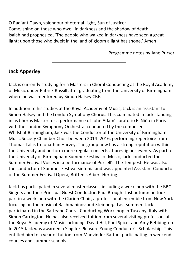O Radiant Dawn, splendour of eternal Light, Sun of Justice: Come, shine on those who dwell in darkness and the shadow of death. Isaiah had prophesied, 'The people who walked in darkness have seen a great light; upon those who dwelt in the land of gloom a light has shone.' Amen

Programme notes by Jane Purser

# Jack Apperley

Jack is currently studying for a Masters in Choral Conducting at the Royal Academy of Music under Patrick Russill after graduating from the University of Birmingham where he was mentored by Simon Halsey CBE.

In addition to his studies at the Royal Academy of Music, Jack is an assistant to Simon Halsey and the London Symphony Chorus. This culminated in Jack standing in as Chorus Master for a performance of John Adam's oratorio El Niňo in Paris with the London Symphony Orchestra, conducted by the composer. Whilst at Birmingham, Jack was the Conductor of the University of Birmingham Music Society Chamber Choir between 2014 -2016, performing repertoire from Thomas Tallis to Jonathan Harvey. The group now has a strong reputation within the University and perform more regular concerts at prestigious events. As part of the University of Birmingham Summer Festival of Music, Jack conducted the Summer Festival Voices in a performance of Purcell's The Tempest. He was also the conductor of Summer Festival Sinfonia and was appointed Assistant Conductor of the Summer Festival Opera, Britten's Albert Herring.

Jack has participated in several masterclasses, including a workshop with the BBC Singers and their Principal Guest Conductor, Paul Brough. Last autumn he took part in a workshop with the Clarion Choir, a professional ensemble from New York focusing on the music of Rachmaninov and Steinberg. Last summer, Jack participated in the Sarteano Choral Conducting Workshop in Tuscany, Italy with Simon Carrington. He has also received tuition from several visiting professors at the Royal Academy of Music including, David Hill, Paul Spicer and Amy Bebbington. In 2015 Jack was awarded a Sing for Pleasure Young Conductor's Scholarship. This entitled him to a year of tuition from Manvinder Rattan, participating in weekend courses and summer schools.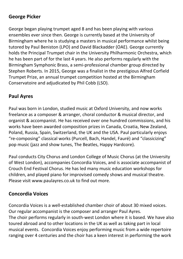# George Picker

George began playing trumpet aged 8 and has been playing with various ensembles ever since then. George is currently based at the University of Birmingham where he is studying a masters in musical performance whilst being tutored by Paul Beniston (LPO) and David Blackadder (OAE). George currently holds the Principal Trumpet chair in the University Philharmonic Orchestra, which he has been part of for the last 4 years. He also performs regularly with the Birmingham Symphonic Brass, a semi-professional chamber group directed by Stephen Roberts. In 2015, George was a finalist in the prestigious Alfred Corfield Trumpet Prize, an annual trumpet competition hosted at the Birmingham Conservatoire and adjudicated by Phil Cobb (LSO).

# Paul Ayres

Paul was born in London, studied music at Oxford University, and now works freelance as a composer & arranger, choral conductor & musical director, and organist & accompanist. He has received over one hundred commissions, and his works have been awarded composition prizes in Canada, Croatia, New Zealand, Poland, Russia, Spain, Switzerland, the UK and the USA. Paul particularly enjoys "re-composing" classical works (Purcell, Bach, Handel, Fauré) and "classicizing" pop music (jazz and show tunes, The Beatles, Happy Hardcore).

Paul conducts City Chorus and London College of Music Chorus (at the University of West London), accompanies Concordia Voices, and is associate accompanist of Crouch End Festival Chorus. He has led many music education workshops for children, and played piano for improvised comedy shows and musical theatre. Please visit www.paulayres.co.uk to find out more.

# Concordia Voices

Concordia Voices is a well-established chamber choir of about 30 mixed voices. Our regular accompanist is the composer and arranger Paul Ayres. The choir performs regularly in south-west London where it is based. We have also toured abroad and to other locations in the UK as well as taking part in local musical events. Concordia Voices enjoy performing music from a wide repertoire ranging over 4 centuries and the choir has a keen interest in performing the work